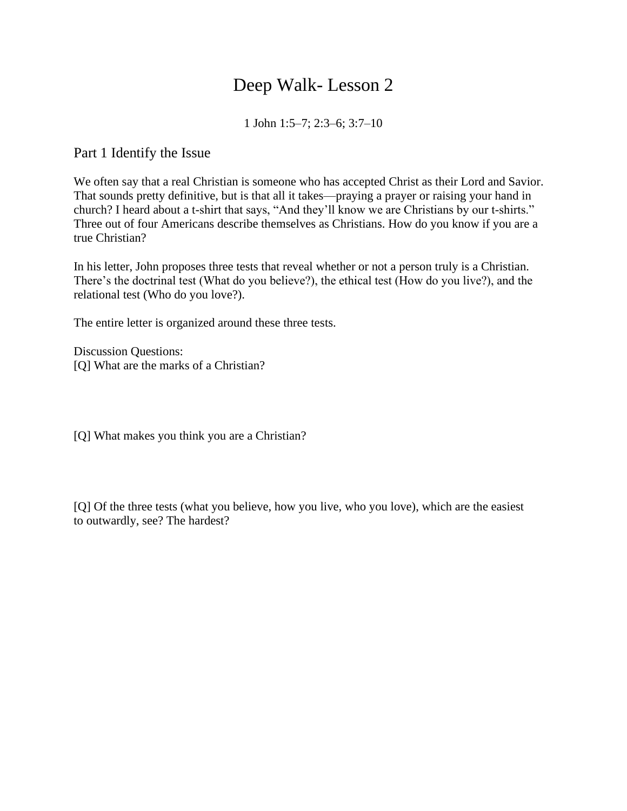# Deep Walk- Lesson 2

1 John 1:5–7; 2:3–6; 3:7–10

Part 1 Identify the Issue

We often say that a real Christian is someone who has accepted Christ as their Lord and Savior. That sounds pretty definitive, but is that all it takes—praying a prayer or raising your hand in church? I heard about a t-shirt that says, "And they'll know we are Christians by our t-shirts." Three out of four Americans describe themselves as Christians. How do you know if you are a true Christian?

In his letter, John proposes three tests that reveal whether or not a person truly is a Christian. There's the doctrinal test (What do you believe?), the ethical test (How do you live?), and the relational test (Who do you love?).

The entire letter is organized around these three tests.

Discussion Questions: [Q] What are the marks of a Christian?

[Q] What makes you think you are a Christian?

[Q] Of the three tests (what you believe, how you live, who you love), which are the easiest to outwardly, see? The hardest?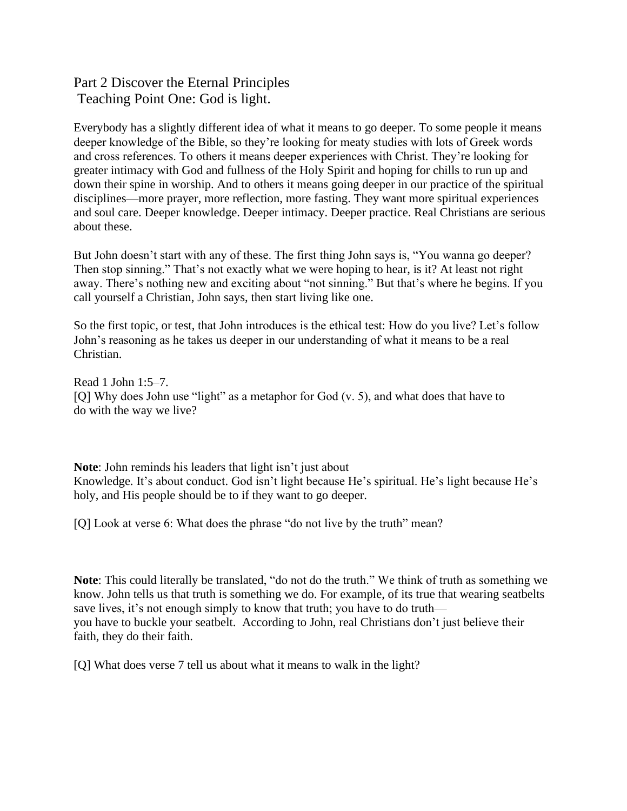## Part 2 Discover the Eternal Principles Teaching Point One: God is light.

Everybody has a slightly different idea of what it means to go deeper. To some people it means deeper knowledge of the Bible, so they're looking for meaty studies with lots of Greek words and cross references. To others it means deeper experiences with Christ. They're looking for greater intimacy with God and fullness of the Holy Spirit and hoping for chills to run up and down their spine in worship. And to others it means going deeper in our practice of the spiritual disciplines—more prayer, more reflection, more fasting. They want more spiritual experiences and soul care. Deeper knowledge. Deeper intimacy. Deeper practice. Real Christians are serious about these.

But John doesn't start with any of these. The first thing John says is, "You wanna go deeper? Then stop sinning." That's not exactly what we were hoping to hear, is it? At least not right away. There's nothing new and exciting about "not sinning." But that's where he begins. If you call yourself a Christian, John says, then start living like one.

So the first topic, or test, that John introduces is the ethical test: How do you live? Let's follow John's reasoning as he takes us deeper in our understanding of what it means to be a real Christian.

Read 1 John 1:5–7. [O] Why does John use "light" as a metaphor for God (v. 5), and what does that have to do with the way we live?

**Note**: John reminds his leaders that light isn't just about Knowledge. It's about conduct. God isn't light because He's spiritual. He's light because He's holy, and His people should be to if they want to go deeper.

[Q] Look at verse 6: What does the phrase "do not live by the truth" mean?

**Note**: This could literally be translated, "do not do the truth." We think of truth as something we know. John tells us that truth is something we do. For example, of its true that wearing seatbelts save lives, it's not enough simply to know that truth; you have to do truth you have to buckle your seatbelt. According to John, real Christians don't just believe their faith, they do their faith.

[Q] What does verse 7 tell us about what it means to walk in the light?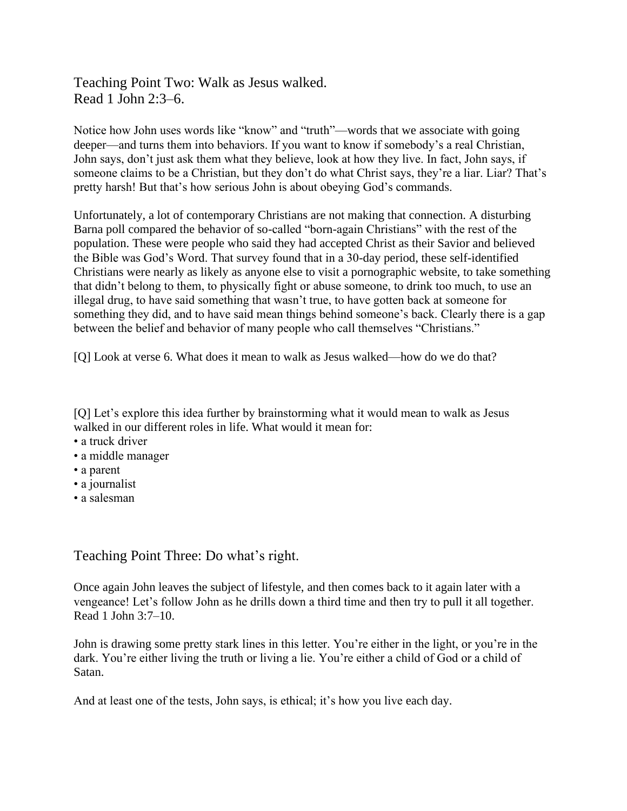### Teaching Point Two: Walk as Jesus walked. Read 1 John 2:3–6.

Notice how John uses words like "know" and "truth"—words that we associate with going deeper—and turns them into behaviors. If you want to know if somebody's a real Christian, John says, don't just ask them what they believe, look at how they live. In fact, John says, if someone claims to be a Christian, but they don't do what Christ says, they're a liar. Liar? That's pretty harsh! But that's how serious John is about obeying God's commands.

Unfortunately, a lot of contemporary Christians are not making that connection. A disturbing Barna poll compared the behavior of so-called "born-again Christians" with the rest of the population. These were people who said they had accepted Christ as their Savior and believed the Bible was God's Word. That survey found that in a 30-day period, these self-identified Christians were nearly as likely as anyone else to visit a pornographic website, to take something that didn't belong to them, to physically fight or abuse someone, to drink too much, to use an illegal drug, to have said something that wasn't true, to have gotten back at someone for something they did, and to have said mean things behind someone's back. Clearly there is a gap between the belief and behavior of many people who call themselves "Christians."

[Q] Look at verse 6. What does it mean to walk as Jesus walked—how do we do that?

[Q] Let's explore this idea further by brainstorming what it would mean to walk as Jesus walked in our different roles in life. What would it mean for:

- a truck driver
- a middle manager
- a parent
- a journalist
- a salesman

#### Teaching Point Three: Do what's right.

Once again John leaves the subject of lifestyle, and then comes back to it again later with a vengeance! Let's follow John as he drills down a third time and then try to pull it all together. Read 1 John 3:7–10.

John is drawing some pretty stark lines in this letter. You're either in the light, or you're in the dark. You're either living the truth or living a lie. You're either a child of God or a child of Satan.

And at least one of the tests, John says, is ethical; it's how you live each day.